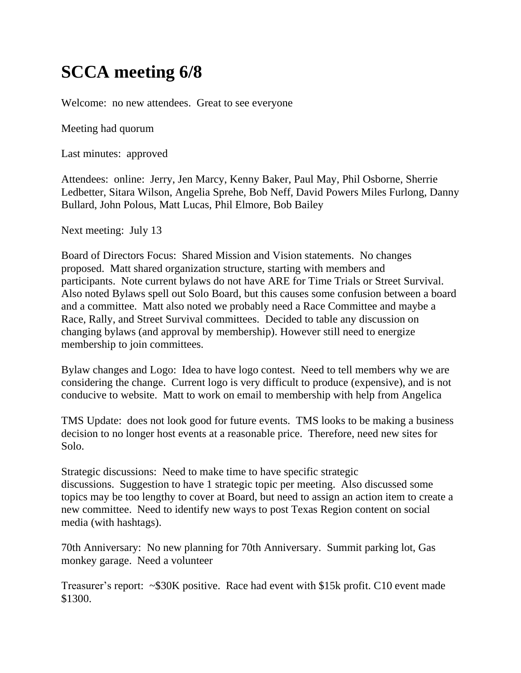## **SCCA meeting 6/8**

Welcome: no new attendees. Great to see everyone

Meeting had quorum

Last minutes: approved

Attendees: online: Jerry, Jen Marcy, Kenny Baker, Paul May, Phil Osborne, Sherrie Ledbetter, Sitara Wilson, Angelia Sprehe, Bob Neff, David Powers Miles Furlong, Danny Bullard, John Polous, Matt Lucas, Phil Elmore, Bob Bailey

Next meeting: July 13

Board of Directors Focus: Shared Mission and Vision statements. No changes proposed. Matt shared organization structure, starting with members and participants. Note current bylaws do not have ARE for Time Trials or Street Survival. Also noted Bylaws spell out Solo Board, but this causes some confusion between a board and a committee. Matt also noted we probably need a Race Committee and maybe a Race, Rally, and Street Survival committees. Decided to table any discussion on changing bylaws (and approval by membership). However still need to energize membership to join committees.

Bylaw changes and Logo: Idea to have logo contest. Need to tell members why we are considering the change. Current logo is very difficult to produce (expensive), and is not conducive to website. Matt to work on email to membership with help from Angelica

TMS Update: does not look good for future events. TMS looks to be making a business decision to no longer host events at a reasonable price. Therefore, need new sites for Solo.

Strategic discussions: Need to make time to have specific strategic discussions. Suggestion to have 1 strategic topic per meeting. Also discussed some topics may be too lengthy to cover at Board, but need to assign an action item to create a new committee. Need to identify new ways to post Texas Region content on social media (with hashtags).

70th Anniversary: No new planning for 70th Anniversary. Summit parking lot, Gas monkey garage. Need a volunteer

Treasurer's report: ~\$30K positive. Race had event with \$15k profit. C10 event made \$1300.